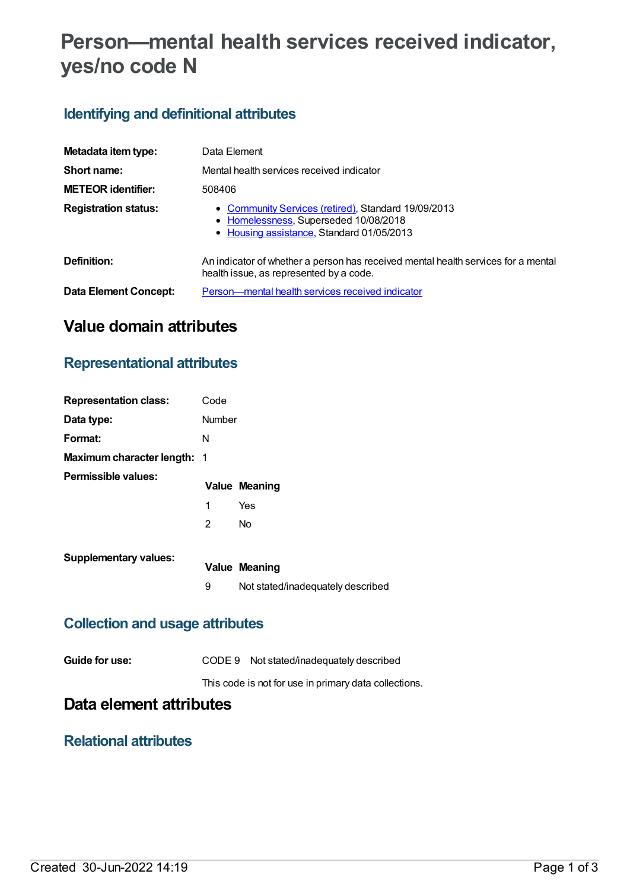# **Person—mental health services received indicator, yes/no code N**

### **Identifying and definitional attributes**

| Metadata item type:         | Data Element                                                                                                                              |
|-----------------------------|-------------------------------------------------------------------------------------------------------------------------------------------|
| Short name:                 | Mental health services received indicator                                                                                                 |
| <b>METEOR identifier:</b>   | 508406                                                                                                                                    |
| <b>Registration status:</b> | • Community Services (retired), Standard 19/09/2013<br>• Homelessness, Superseded 10/08/2018<br>• Housing assistance, Standard 01/05/2013 |
| Definition:                 | An indicator of whether a person has received mental health services for a mental<br>health issue, as represented by a code.              |
| Data Element Concept:       | Person—mental health services received indicator                                                                                          |

### **Value domain attributes**

#### **Representational attributes**

| <b>Representation class:</b>       | Code   |                                   |
|------------------------------------|--------|-----------------------------------|
| Data type:                         | Number |                                   |
| Format:                            | N      |                                   |
| <b>Maximum character length: 1</b> |        |                                   |
| Permissible values:                |        | <b>Value Meaning</b>              |
|                                    | 1      | Yes                               |
|                                    | 2      | N <sub>o</sub>                    |
| <b>Supplementary values:</b>       |        |                                   |
|                                    |        | <b>Value Meaning</b>              |
|                                    | 9      | Not stated/inadequately described |
|                                    |        |                                   |

#### **Collection and usage attributes**

| Guide for use: |  | CODE 9 Not stated/inadequately described |  |
|----------------|--|------------------------------------------|--|
|----------------|--|------------------------------------------|--|

This code is not for use in primary data collections.

## **Data element attributes**

#### **Relational attributes**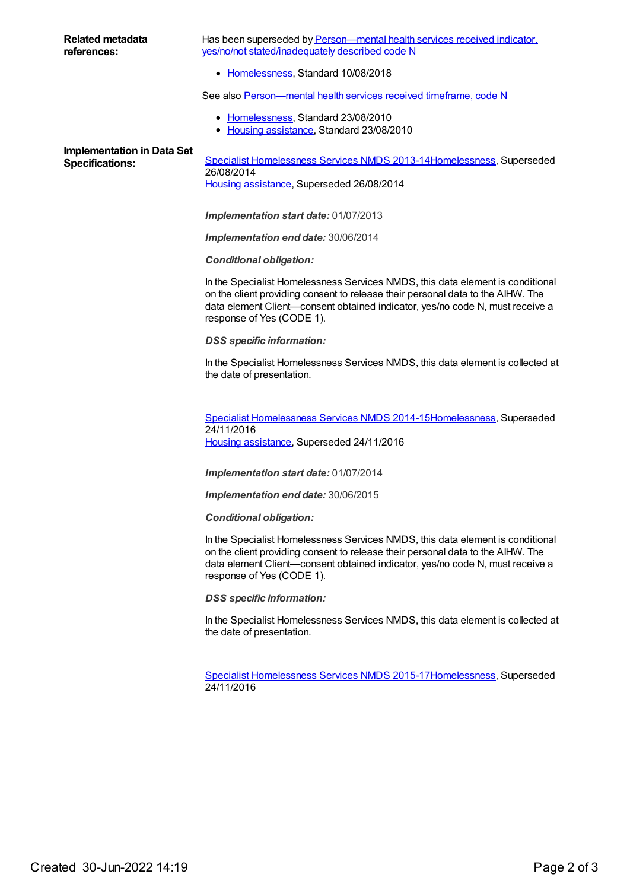Has been superseded by **Person—mental health services received indicator**, yes/no/not [stated/inadequately](https://meteor.aihw.gov.au/content/691978) described code N

• [Homelessness](https://meteor.aihw.gov.au/RegistrationAuthority/14), Standard 10/08/2018

See also Person-mental health services received timeframe, code N

- [Homelessness](https://meteor.aihw.gov.au/RegistrationAuthority/14), Standard 23/08/2010
- Housing [assistance](https://meteor.aihw.gov.au/RegistrationAuthority/11), Standard 23/08/2010

# **Implementation in Data Set**

Specifications: Specialist [Homelessness](https://meteor.aihw.gov.au/content/505626) Services NMDS 2013-1[4Homelessness](https://meteor.aihw.gov.au/RegistrationAuthority/14), Superseded 26/08/2014 Housing [assistance](https://meteor.aihw.gov.au/RegistrationAuthority/11), Superseded 26/08/2014

*Implementation start date:* 01/07/2013

*Implementation end date:* 30/06/2014

*Conditional obligation:*

In the Specialist Homelessness Services NMDS, this data element is conditional on the client providing consent to release their personal data to the AIHW. The data element Client—consent obtained indicator, yes/no code N, must receive a response of Yes (CODE 1).

*DSS specific information:*

In the Specialist Homelessness Services NMDS, this data element is collected at the date of presentation.

Specialist [Homelessness](https://meteor.aihw.gov.au/content/581255) Services NMDS 2014-1[5Homelessness](https://meteor.aihw.gov.au/RegistrationAuthority/14), Superseded 24/11/2016 Housing [assistance](https://meteor.aihw.gov.au/RegistrationAuthority/11), Superseded 24/11/2016

*Implementation start date:* 01/07/2014

*Implementation end date:* 30/06/2015

*Conditional obligation:*

In the Specialist Homelessness Services NMDS, this data element is conditional on the client providing consent to release their personal data to the AIHW. The data element Client—consent obtained indicator, yes/no code N, must receive a response of Yes (CODE 1).

*DSS specific information:*

In the Specialist Homelessness Services NMDS, this data element is collected at the date of presentation.

Specialist [Homelessness](https://meteor.aihw.gov.au/content/658005) Services NMDS 2015-1[7Homelessness](https://meteor.aihw.gov.au/RegistrationAuthority/14), Superseded 24/11/2016